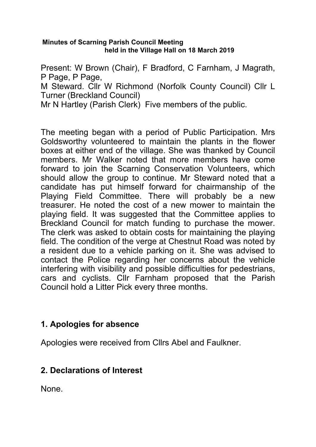#### **Minutes of Scarning Parish Council Meeting held in the Village Hall on 18 March 2019**

Present: W Brown (Chair), F Bradford, C Farnham, J Magrath, P Page, P Page, M Steward. Cllr W Richmond (Norfolk County Council) Cllr L Turner (Breckland Council) Mr N Hartley (Parish Clerk) Five members of the public.

The meeting began with a period of Public Participation. Mrs Goldsworthy volunteered to maintain the plants in the flower boxes at either end of the village. She was thanked by Council members. Mr Walker noted that more members have come forward to join the Scarning Conservation Volunteers, which should allow the group to continue. Mr Steward noted that a candidate has put himself forward for chairmanship of the Playing Field Committee. There will probably be a new treasurer. He noted the cost of a new mower to maintain the playing field. It was suggested that the Committee applies to Breckland Council for match funding to purchase the mower. The clerk was asked to obtain costs for maintaining the playing field. The condition of the verge at Chestnut Road was noted by a resident due to a vehicle parking on it. She was advised to contact the Police regarding her concerns about the vehicle interfering with visibility and possible difficulties for pedestrians, cars and cyclists. Cllr Farnham proposed that the Parish Council hold a Litter Pick every three months.

## **1. Apologies for absence**

Apologies were received from Cllrs Abel and Faulkner.

# **2. Declarations of Interest**

None.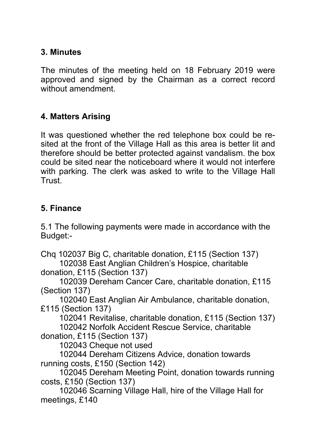## **3. Minutes**

The minutes of the meeting held on 18 February 2019 were approved and signed by the Chairman as a correct record without amendment.

# **4. Matters Arising**

It was questioned whether the red telephone box could be resited at the front of the Village Hall as this area is better lit and therefore should be better protected against vandalism. the box could be sited near the noticeboard where it would not interfere with parking. The clerk was asked to write to the Village Hall **Trust** 

# **5. Finance**

5.1 The following payments were made in accordance with the Budget:-

Chq 102037 Big C, charitable donation, £115 (Section 137) 102038 East Anglian Children's Hospice, charitable

donation, £115 (Section 137)

 102039 Dereham Cancer Care, charitable donation, £115 (Section 137)

 102040 East Anglian Air Ambulance, charitable donation, £115 (Section 137)

 102041 Revitalise, charitable donation, £115 (Section 137) 102042 Norfolk Accident Rescue Service, charitable

donation, £115 (Section 137)

102043 Cheque not used

 102044 Dereham Citizens Advice, donation towards running costs, £150 (Section 142)

 102045 Dereham Meeting Point, donation towards running costs, £150 (Section 137)

 102046 Scarning Village Hall, hire of the Village Hall for meetings, £140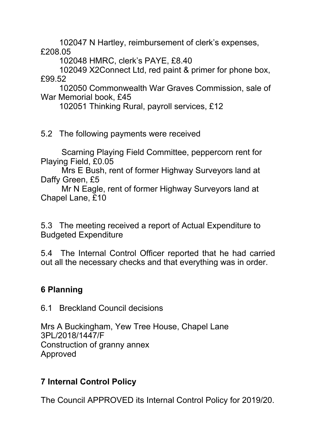102047 N Hartley, reimbursement of clerk's expenses, £208.05

102048 HMRC, clerk's PAYE, £8.40

 102049 X2Connect Ltd, red paint & primer for phone box, £99.52

 102050 Commonwealth War Graves Commission, sale of War Memorial book, £45

102051 Thinking Rural, payroll services, £12

5.2 The following payments were received

 Scarning Playing Field Committee, peppercorn rent for Playing Field, £0.05

 Mrs E Bush, rent of former Highway Surveyors land at Daffy Green, £5

 Mr N Eagle, rent of former Highway Surveyors land at Chapel Lane, £10

5.3 The meeting received a report of Actual Expenditure to Budgeted Expenditure

5.4 The Internal Control Officer reported that he had carried out all the necessary checks and that everything was in order.

# **6 Planning**

6.1 Breckland Council decisions

Mrs A Buckingham, Yew Tree House, Chapel Lane 3PL/2018/1447/F Construction of granny annex Approved

# **7 Internal Control Policy**

The Council APPROVED its Internal Control Policy for 2019/20.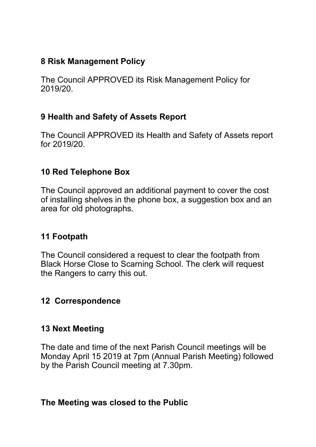## **8 Risk Management Policy**

The Council APPROVED its Risk Management Policy for 2019/20.

### **9 Health and Safety of Assets Report**

The Council APPROVED its Health and Safety of Assets report for 2019/20.

#### **10 Red Telephone Box**

The Council approved an additional payment to cover the cost of installing shelves in the phone box, a suggestion box and an area for old photographs.

#### **11 Footpath**

The Council considered a request to clear the footpath from Black Horse Close to Scarning School. The clerk will request the Rangers to carry this out.

## **12 Correspondence**

#### **13 Next Meeting**

The date and time of the next Parish Council meetings will be Monday April 15 2019 at 7pm (Annual Parish Meeting) followed by the Parish Council meeting at 7.30pm.

#### **The Meeting was closed to the Public**